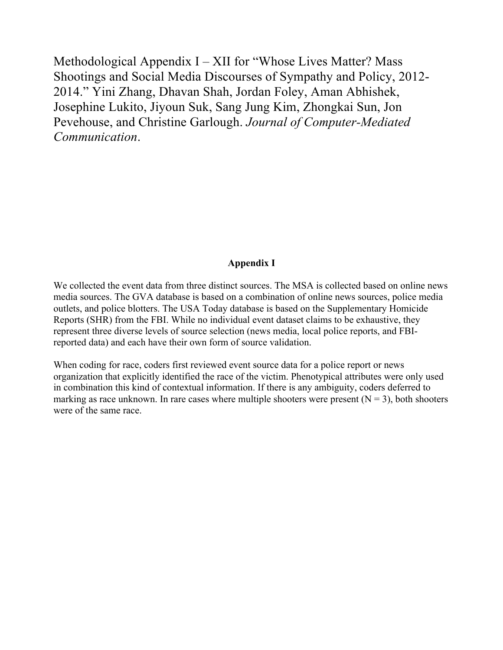Methodological Appendix I – XII for "Whose Lives Matter? Mass Shootings and Social Media Discourses of Sympathy and Policy, 2012- 2014." Yini Zhang, Dhavan Shah, Jordan Foley, Aman Abhishek, Josephine Lukito, Jiyoun Suk, Sang Jung Kim, Zhongkai Sun, Jon Pevehouse, and Christine Garlough. *Journal of Computer-Mediated Communication*.

## **Appendix I**

We collected the event data from three distinct sources. The MSA is collected based on online news media sources. The GVA database is based on a combination of online news sources, police media outlets, and police blotters. The USA Today database is based on the Supplementary Homicide Reports (SHR) from the FBI. While no individual event dataset claims to be exhaustive, they represent three diverse levels of source selection (news media, local police reports, and FBIreported data) and each have their own form of source validation.

When coding for race, coders first reviewed event source data for a police report or news organization that explicitly identified the race of the victim. Phenotypical attributes were only used in combination this kind of contextual information. If there is any ambiguity, coders deferred to marking as race unknown. In rare cases where multiple shooters were present  $(N = 3)$ , both shooters were of the same race.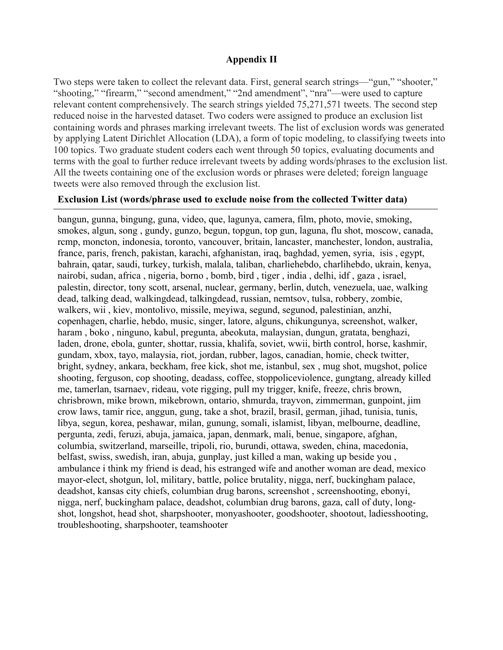### **Appendix II**

Two steps were taken to collect the relevant data. First, general search strings—"gun," "shooter," "shooting," "firearm," "second amendment," "2nd amendment", "nra"—were used to capture relevant content comprehensively. The search strings yielded 75,271,571 tweets. The second step reduced noise in the harvested dataset. Two coders were assigned to produce an exclusion list containing words and phrases marking irrelevant tweets. The list of exclusion words was generated by applying Latent Dirichlet Allocation (LDA), a form of topic modeling, to classifying tweets into 100 topics. Two graduate student coders each went through 50 topics, evaluating documents and terms with the goal to further reduce irrelevant tweets by adding words/phrases to the exclusion list. All the tweets containing one of the exclusion words or phrases were deleted; foreign language tweets were also removed through the exclusion list.

#### **Exclusion List (words/phrase used to exclude noise from the collected Twitter data)**

bangun, gunna, bingung, guna, video, que, lagunya, camera, film, photo, movie, smoking, smokes, algun, song , gundy, gunzo, begun, topgun, top gun, laguna, flu shot, moscow, canada, rcmp, moncton, indonesia, toronto, vancouver, britain, lancaster, manchester, london, australia, france, paris, french, pakistan, karachi, afghanistan, iraq, baghdad, yemen, syria, isis , egypt, bahrain, qatar, saudi, turkey, turkish, malala, taliban, charliehebdo, charlihebdo, ukrain, kenya, nairobi, sudan, africa , nigeria, borno , bomb, bird , tiger , india , delhi, idf , gaza , israel, palestin, director, tony scott, arsenal, nuclear, germany, berlin, dutch, venezuela, uae, walking dead, talking dead, walkingdead, talkingdead, russian, nemtsov, tulsa, robbery, zombie, walkers, wii , kiev, montolivo, missile, meyiwa, segund, segunod, palestinian, anzhi, copenhagen, charlie, hebdo, music, singer, latore, alguns, chikungunya, screenshot, walker, haram , boko , ninguno, kabul, pregunta, abeokuta, malaysian, dungun, gratata, benghazi, laden, drone, ebola, gunter, shottar, russia, khalifa, soviet, wwii, birth control, horse, kashmir, gundam, xbox, tayo, malaysia, riot, jordan, rubber, lagos, canadian, homie, check twitter, bright, sydney, ankara, beckham, free kick, shot me, istanbul, sex , mug shot, mugshot, police shooting, ferguson, cop shooting, deadass, coffee, stoppoliceviolence, gungtang, already killed me, tamerlan, tsarnaev, rideau, vote rigging, pull my trigger, knife, freeze, chris brown, chrisbrown, mike brown, mikebrown, ontario, shmurda, trayvon, zimmerman, gunpoint, jim crow laws, tamir rice, anggun, gung, take a shot, brazil, brasil, german, jihad, tunisia, tunis, libya, segun, korea, peshawar, milan, gunung, somali, islamist, libyan, melbourne, deadline, pergunta, zedi, feruzi, abuja, jamaica, japan, denmark, mali, benue, singapore, afghan, columbia, switzerland, marseille, tripoli, rio, burundi, ottawa, sweden, china, macedonia, belfast, swiss, swedish, iran, abuja, gunplay, just killed a man, waking up beside you , ambulance i think my friend is dead, his estranged wife and another woman are dead, mexico mayor-elect, shotgun, lol, military, battle, police brutality, nigga, nerf, buckingham palace, deadshot, kansas city chiefs, columbian drug barons, screenshot , screenshooting, ebonyi, nigga, nerf, buckingham palace, deadshot, columbian drug barons, gaza, call of duty, longshot, longshot, head shot, sharpshooter, monyashooter, goodshooter, shootout, ladiesshooting, troubleshooting, sharpshooter, teamshooter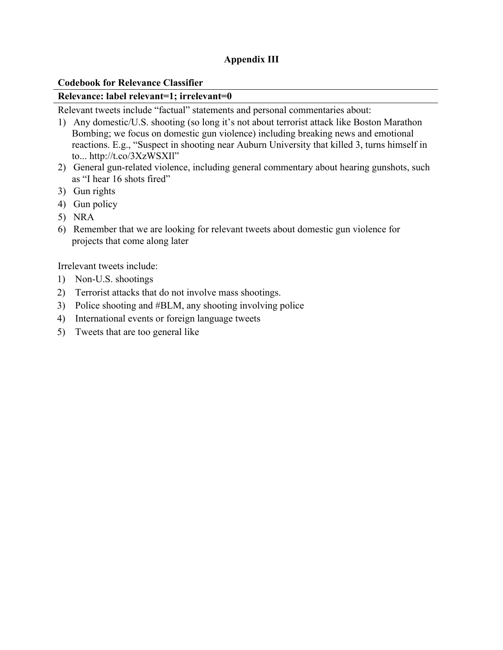# **Appendix III**

### **Codebook for Relevance Classifier**

#### **Relevance: label relevant=1; irrelevant=0**

Relevant tweets include "factual" statements and personal commentaries about:

- 1) Any domestic/U.S. shooting (so long it's not about terrorist attack like Boston Marathon Bombing; we focus on domestic gun violence) including breaking news and emotional reactions. E.g., "Suspect in shooting near Auburn University that killed 3, turns himself in to... http://t.co/3XzWSXIl"
- 2) General gun-related violence, including general commentary about hearing gunshots, such as "I hear 16 shots fired"
- 3) Gun rights
- 4) Gun policy
- 5) NRA
- 6) Remember that we are looking for relevant tweets about domestic gun violence for projects that come along later

Irrelevant tweets include:

- 1) Non-U.S. shootings
- 2) Terrorist attacks that do not involve mass shootings.
- 3) Police shooting and #BLM, any shooting involving police
- 4) International events or foreign language tweets
- 5) Tweets that are too general like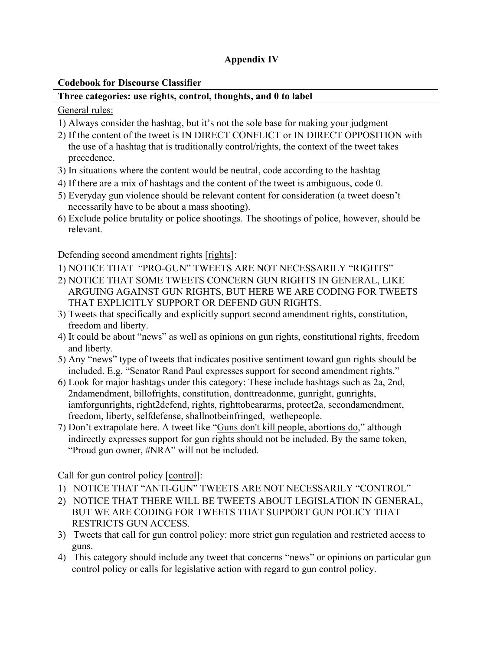# **Appendix IV**

## **Codebook for Discourse Classifier**

## **Three categories: use rights, control, thoughts, and 0 to label**

## General rules:

- 1) Always consider the hashtag, but it's not the sole base for making your judgment
- 2) If the content of the tweet is IN DIRECT CONFLICT or IN DIRECT OPPOSITION with the use of a hashtag that is traditionally control/rights, the context of the tweet takes precedence.
- 3) In situations where the content would be neutral, code according to the hashtag
- 4) If there are a mix of hashtags and the content of the tweet is ambiguous, code 0.
- 5) Everyday gun violence should be relevant content for consideration (a tweet doesn't necessarily have to be about a mass shooting).
- 6) Exclude police brutality or police shootings. The shootings of police, however, should be relevant.

Defending second amendment rights [rights]:

- 1) NOTICE THAT "PRO-GUN" TWEETS ARE NOT NECESSARILY "RIGHTS"
- 2) NOTICE THAT SOME TWEETS CONCERN GUN RIGHTS IN GENERAL, LIKE ARGUING AGAINST GUN RIGHTS, BUT HERE WE ARE CODING FOR TWEETS THAT EXPLICITLY SUPPORT OR DEFEND GUN RIGHTS.
- 3) Tweets that specifically and explicitly support second amendment rights, constitution, freedom and liberty.
- 4) It could be about "news" as well as opinions on gun rights, constitutional rights, freedom and liberty.
- 5) Any "news" type of tweets that indicates positive sentiment toward gun rights should be included. E.g. "Senator Rand Paul expresses support for second amendment rights."
- 6) Look for major hashtags under this category: These include hashtags such as 2a, 2nd, 2ndamendment, billofrights, constitution, donttreadonme, gunright, gunrights, iamforgunrights, right2defend, rights, righttobeararms, protect2a, secondamendment, freedom, liberty, selfdefense, shallnotbeinfringed, wethepeople.
- 7) Don't extrapolate here. A tweet like "Guns don't kill people, abortions do," although indirectly expresses support for gun rights should not be included. By the same token, "Proud gun owner, #NRA" will not be included.

Call for gun control policy [control]:

- 1) NOTICE THAT "ANTI-GUN" TWEETS ARE NOT NECESSARILY "CONTROL"
- 2) NOTICE THAT THERE WILL BE TWEETS ABOUT LEGISLATION IN GENERAL, BUT WE ARE CODING FOR TWEETS THAT SUPPORT GUN POLICY THAT RESTRICTS GUN ACCESS.
- 3) Tweets that call for gun control policy: more strict gun regulation and restricted access to guns.
- 4) This category should include any tweet that concerns "news" or opinions on particular gun control policy or calls for legislative action with regard to gun control policy.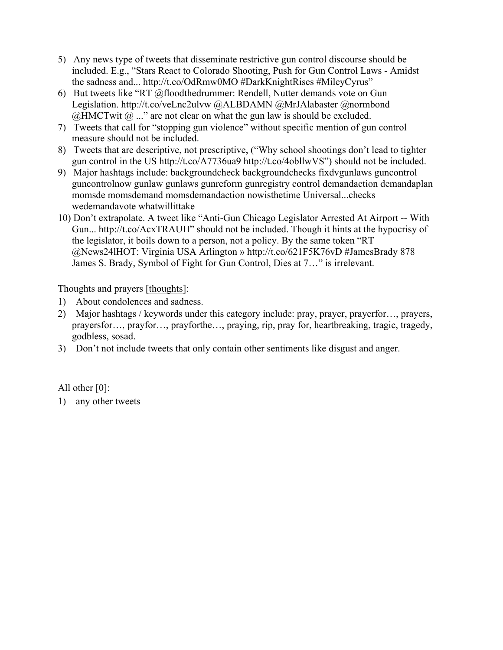- 5) Any news type of tweets that disseminate restrictive gun control discourse should be included. E.g., "Stars React to Colorado Shooting, Push for Gun Control Laws - Amidst the sadness and... http://t.co/OdRmw0MO #DarkKnightRises #MileyCyrus"
- 6) But tweets like "RT @floodthedrummer: Rendell, Nutter demands vote on Gun Legislation. http://t.co/veLnc2ulvw @ALBDAMN @MrJAlabaster @normbond  $@HMCTw$ it  $@...$ " are not clear on what the gun law is should be excluded.
- 7) Tweets that call for "stopping gun violence" without specific mention of gun control measure should not be included.
- 8) Tweets that are descriptive, not prescriptive, ("Why school shootings don't lead to tighter gun control in the US http://t.co/A7736ua9 http://t.co/4obllwVS") should not be included.
- 9) Major hashtags include: backgroundcheck backgroundchecks fixdvgunlaws guncontrol guncontrolnow gunlaw gunlaws gunreform gunregistry control demandaction demandaplan momsde momsdemand momsdemandaction nowisthetime Universal...checks wedemandavote whatwillittake
- 10) Don't extrapolate. A tweet like "Anti-Gun Chicago Legislator Arrested At Airport -- With Gun... http://t.co/AcxTRAUH" should not be included. Though it hints at the hypocrisy of the legislator, it boils down to a person, not a policy. By the same token "RT @News24lHOT: Virginia USA Arlington » http://t.co/621F5K76vD #JamesBrady 878 James S. Brady, Symbol of Fight for Gun Control, Dies at 7…" is irrelevant.

Thoughts and prayers [thoughts]:

- 1) About condolences and sadness.
- 2) Major hashtags / keywords under this category include: pray, prayer, prayerfor..., prayers, prayersfor…, prayfor…, prayforthe…, praying, rip, pray for, heartbreaking, tragic, tragedy, godbless, sosad.
- 3) Don't not include tweets that only contain other sentiments like disgust and anger.

All other [0]:

1) any other tweets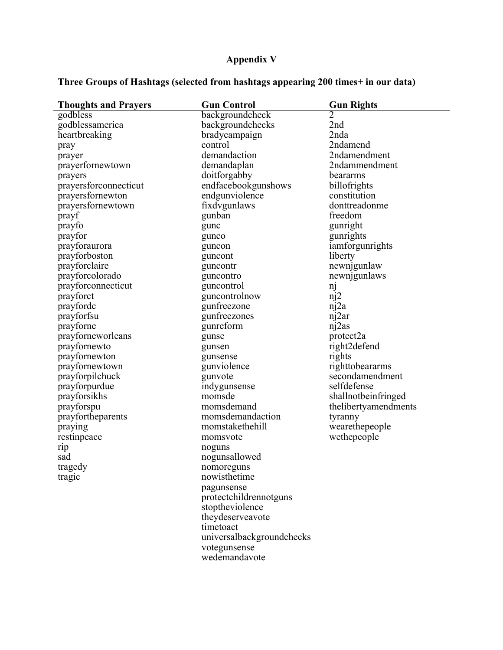# **Appendix V**

# **Three Groups of Hashtags (selected from hashtags appearing 200 times+ in our data)**

| <b>Thoughts and Prayers</b> | <b>Gun Control</b>        | <b>Gun Rights</b>            |
|-----------------------------|---------------------------|------------------------------|
| godbless                    | backgroundcheck           | 2                            |
| godblessamerica             | backgroundchecks          | 2nd                          |
| heartbreaking               | bradycampaign             | 2nda                         |
| pray                        | control                   | 2ndamend                     |
| prayer                      | demandaction              | 2ndamendment                 |
| prayerfornewtown            | demandaplan               | 2ndammendment                |
| prayers                     | doitforgabby              | beararms                     |
| prayersforconnecticut       | endfacebookgunshows       | billofrights                 |
| prayersfornewton            | endgunviolence            | constitution                 |
| prayersfornewtown           | fixdvgunlaws              | donttreadonme                |
| prayf                       | gunban                    | freedom                      |
|                             |                           | gunright                     |
| prayfo                      | gunc                      |                              |
| prayfor                     | gunco                     | gunrights<br>iamforgunrights |
| prayforaurora               | guncon                    |                              |
| prayforboston               | guncont                   | liberty                      |
| prayforclaire               | guncontr                  | newnigunlaw                  |
| prayforcolorado             | guncontro                 | newnjgunlaws                 |
| prayforconnecticut          | guncontrol                | nj                           |
| prayforct                   | guncontrolnow             | $\pi$ <sup>2</sup>           |
| prayforde                   | gunfreezone               | nj2a                         |
| prayforfsu                  | gunfreezones              | nj2ar                        |
| prayforne                   | gunreform                 | nj2as                        |
| prayforneworleans           | gunse                     | protect2a                    |
| prayfornewto                | gunsen                    | right2defend                 |
| prayfornewton               | gunsense                  | rights                       |
| prayfornewtown              | gunviolence               | righttobeararms              |
| prayforpilchuck             | gunvote                   | secondamendment              |
| prayforpurdue               | indygunsense              | selfdefense                  |
| prayforsikhs                | momsde                    | shallnotbeinfringed          |
| prayforspu                  | momsdemand                | thelibertyamendments         |
| prayfortheparents           | momsdemandaction          | tyranny                      |
| praying                     | momstakethehill           | wearethepeople               |
| restinpeace                 | momsvote                  | wethepeople                  |
| rip                         | noguns                    |                              |
| sad                         | nogunsallowed             |                              |
| tragedy                     | nomoreguns                |                              |
| tragic                      | nowisthetime              |                              |
|                             | pagunsense                |                              |
|                             | protectchildrennotguns    |                              |
|                             | stoptheviolence           |                              |
|                             | theydeserveavote          |                              |
|                             | timetoact                 |                              |
|                             | universalbackgroundchecks |                              |
|                             | votegunsense              |                              |
|                             | wedemandavote             |                              |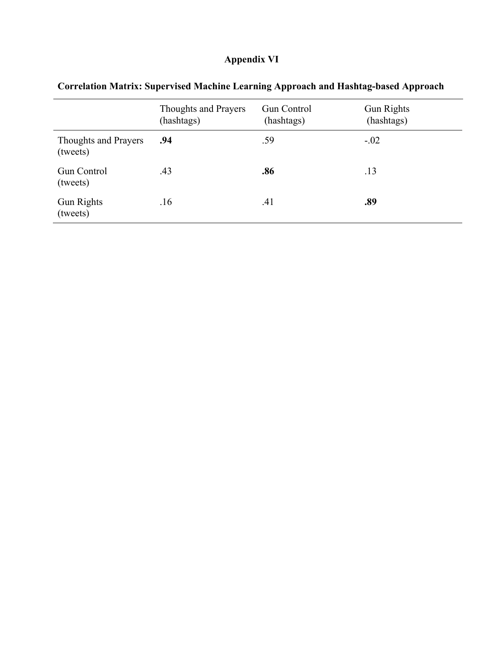# **Appendix VI**

|                                         | <b>Thoughts and Prayers</b><br>(hashtags) | <b>Gun Control</b><br>(hashtags) | <b>Gun Rights</b><br>(hashtags) |
|-----------------------------------------|-------------------------------------------|----------------------------------|---------------------------------|
| <b>Thoughts and Prayers</b><br>(tweets) | .94                                       | .59                              | $-.02$                          |
| <b>Gun Control</b><br>(tweets)          | .43                                       | .86                              | .13                             |
| Gun Rights<br>(tweets)                  | .16                                       | .41                              | .89                             |

# **Correlation Matrix: Supervised Machine Learning Approach and Hashtag-based Approach**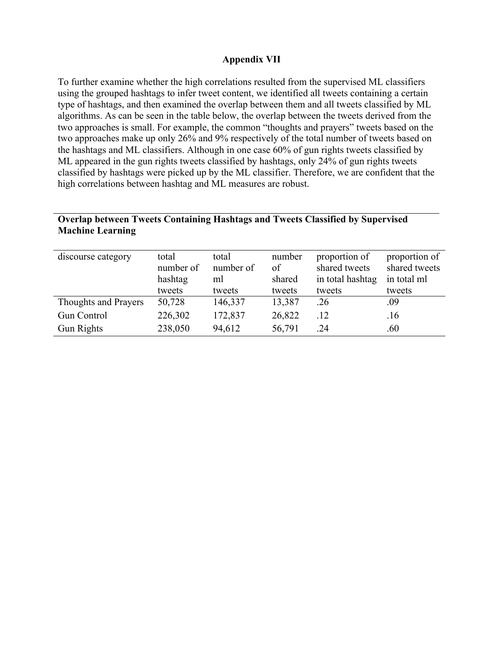### **Appendix VII**

To further examine whether the high correlations resulted from the supervised ML classifiers using the grouped hashtags to infer tweet content, we identified all tweets containing a certain type of hashtags, and then examined the overlap between them and all tweets classified by ML algorithms. As can be seen in the table below, the overlap between the tweets derived from the two approaches is small. For example, the common "thoughts and prayers" tweets based on the two approaches make up only 26% and 9% respectively of the total number of tweets based on the hashtags and ML classifiers. Although in one case 60% of gun rights tweets classified by ML appeared in the gun rights tweets classified by hashtags, only 24% of gun rights tweets classified by hashtags were picked up by the ML classifier. Therefore, we are confident that the high correlations between hashtag and ML measures are robust.

# **Overlap between Tweets Containing Hashtags and Tweets Classified by Supervised Machine Learning**

| discourse category          | total<br>number of<br>hashtag<br>tweets | total<br>number of<br>ml<br>tweets | number<br>of<br>shared<br>tweets | proportion of<br>shared tweets<br>in total hashtag<br>tweets | proportion of<br>shared tweets<br>in total ml<br>tweets |
|-----------------------------|-----------------------------------------|------------------------------------|----------------------------------|--------------------------------------------------------------|---------------------------------------------------------|
| <b>Thoughts and Prayers</b> | 50,728                                  | 146,337                            | 13,387                           | .26                                                          | .09                                                     |
| <b>Gun Control</b>          | 226,302                                 | 172,837                            | 26,822                           | .12                                                          | .16                                                     |
| <b>Gun Rights</b>           | 238,050                                 | 94,612                             | 56,791                           | .24                                                          | .60                                                     |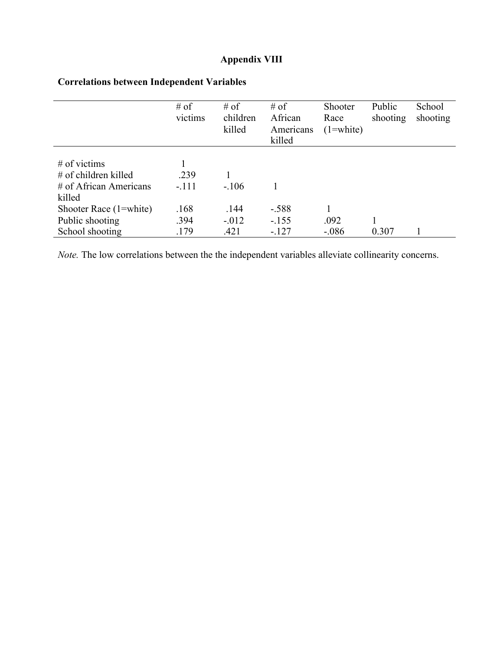# **Appendix VIII**

|                          | $#$ of<br>victims | $#$ of<br>children<br>killed | # of<br>African<br>Americans<br>killed | Shooter<br>Race<br>$(1=white)$ | Public<br>shooting | School<br>shooting |
|--------------------------|-------------------|------------------------------|----------------------------------------|--------------------------------|--------------------|--------------------|
|                          |                   |                              |                                        |                                |                    |                    |
| $#$ of victims           |                   |                              |                                        |                                |                    |                    |
| $#$ of children killed   | .239              |                              |                                        |                                |                    |                    |
| $#$ of African Americans | $-.111$           | $-.106$                      |                                        |                                |                    |                    |
| killed                   |                   |                              |                                        |                                |                    |                    |
| Shooter Race (1=white)   | .168              | .144                         | $-.588$                                |                                |                    |                    |
| Public shooting          | .394              | $-.012$                      | $-.155$                                | .092                           |                    |                    |
| School shooting          | .179              | .421                         | $-127$                                 | $-0.086$                       | 0.307              |                    |

# **Correlations between Independent Variables**

*Note.* The low correlations between the the independent variables alleviate collinearity concerns.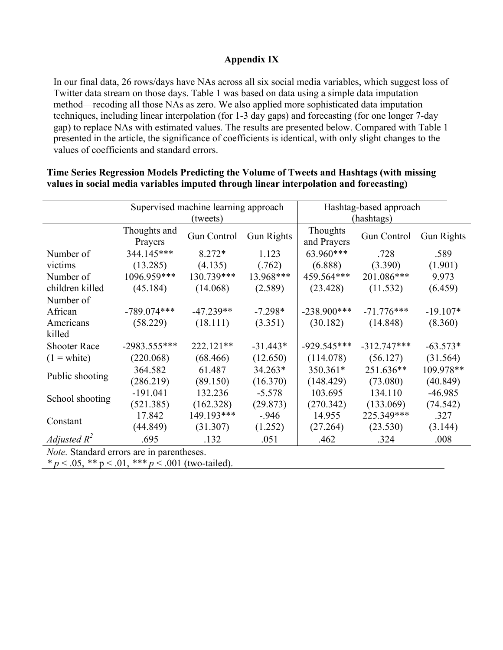## **Appendix IX**

In our final data, 26 rows/days have NAs across all six social media variables, which suggest loss of Twitter data stream on those days. Table 1 was based on data using a simple data imputation method—recoding all those NAs as zero. We also applied more sophisticated data imputation techniques, including linear interpolation (for 1-3 day gaps) and forecasting (for one longer 7-day gap) to replace NAs with estimated values. The results are presented below. Compared with Table 1 presented in the article, the significance of coefficients is identical, with only slight changes to the values of coefficients and standard errors.

|                                                                                                                                                                                                                                                                                                                                   |                         | Supervised machine learning approach<br>(tweets) |            | Hashtag-based approach<br>(hashtags) |               |            |
|-----------------------------------------------------------------------------------------------------------------------------------------------------------------------------------------------------------------------------------------------------------------------------------------------------------------------------------|-------------------------|--------------------------------------------------|------------|--------------------------------------|---------------|------------|
|                                                                                                                                                                                                                                                                                                                                   | Thoughts and<br>Prayers | Gun Control                                      | Gun Rights | Thoughts<br>and Prayers              | Gun Control   | Gun Rights |
| Number of                                                                                                                                                                                                                                                                                                                         | 344.145***              | $8.272*$                                         | 1.123      | 63.960***                            | .728          | .589       |
| victims                                                                                                                                                                                                                                                                                                                           | (13.285)                | (4.135)                                          | (.762)     | (6.888)                              | (3.390)       | (1.901)    |
| Number of                                                                                                                                                                                                                                                                                                                         | 1096.959***             | 130.739***                                       | 13.968***  | 459.564***                           | 201.086***    | 9.973      |
| children killed                                                                                                                                                                                                                                                                                                                   | (45.184)                | (14.068)                                         | (2.589)    | (23.428)                             | (11.532)      | (6.459)    |
| Number of                                                                                                                                                                                                                                                                                                                         |                         |                                                  |            |                                      |               |            |
| African                                                                                                                                                                                                                                                                                                                           | $-789.074***$           | $-47.239**$                                      | $-7.298*$  | $-238.900***$                        | $-71.776***$  | $-19.107*$ |
| Americans                                                                                                                                                                                                                                                                                                                         | (58.229)                | (18.111)                                         | (3.351)    | (30.182)                             | (14.848)      | (8.360)    |
| killed                                                                                                                                                                                                                                                                                                                            |                         |                                                  |            |                                      |               |            |
| <b>Shooter Race</b>                                                                                                                                                                                                                                                                                                               | $-2983.555***$          | 222.121**                                        | $-31.443*$ | $-929.545***$                        | $-312.747***$ | $-63.573*$ |
| $(1 = \text{white})$                                                                                                                                                                                                                                                                                                              | (220.068)               | (68.466)                                         | (12.650)   | (114.078)                            | (56.127)      | (31.564)   |
| Public shooting                                                                                                                                                                                                                                                                                                                   | 364.582                 | 61.487                                           | 34.263*    | 350.361*                             | 251.636**     | 109.978**  |
|                                                                                                                                                                                                                                                                                                                                   | (286.219)               | (89.150)                                         | (16.370)   | (148.429)                            | (73.080)      | (40.849)   |
| School shooting                                                                                                                                                                                                                                                                                                                   | $-191.041$              | 132.236                                          | $-5.578$   | 103.695                              | 134.110       | $-46.985$  |
|                                                                                                                                                                                                                                                                                                                                   | (521.385)               | (162.328)                                        | (29.873)   | (270.342)                            | (133.069)     | (74.542)   |
|                                                                                                                                                                                                                                                                                                                                   | 17.842                  | 149.193***                                       | $-946$     | 14.955                               | 225.349***    | .327       |
| Constant                                                                                                                                                                                                                                                                                                                          | (44.849)                | (31.307)                                         | (1.252)    | (27.264)                             | (23.530)      | (3.144)    |
| Adjusted $R^2$                                                                                                                                                                                                                                                                                                                    | .695                    | .132                                             | .051       | .462                                 | .324          | .008       |
| <i>Note.</i> Standard errors are in parentheses.                                                                                                                                                                                                                                                                                  |                         |                                                  |            |                                      |               |            |
| * $\alpha$ / $\alpha$ / $\beta$ * * $\alpha$ / $\alpha$ / $\beta$ * * * $\alpha$ / $\alpha$ / $\beta$ / $\beta$ / $\beta$ / $\beta$ / $\beta$ / $\beta$ / $\beta$ / $\beta$ / $\beta$ / $\beta$ / $\beta$ / $\beta$ / $\beta$ / $\beta$ / $\beta$ / $\beta$ / $\beta$ / $\beta$ / $\beta$ / $\beta$ / $\beta$ / $\beta$ / $\beta$ |                         |                                                  |            |                                      |               |            |

### **Time Series Regression Models Predicting the Volume of Tweets and Hashtags (with missing values in social media variables imputed through linear interpolation and forecasting)**

 $p < 0.05$ ,  $\ast \ast p < 0.01$ ,  $\ast \ast \ast p < 0.001$  (two-tailed).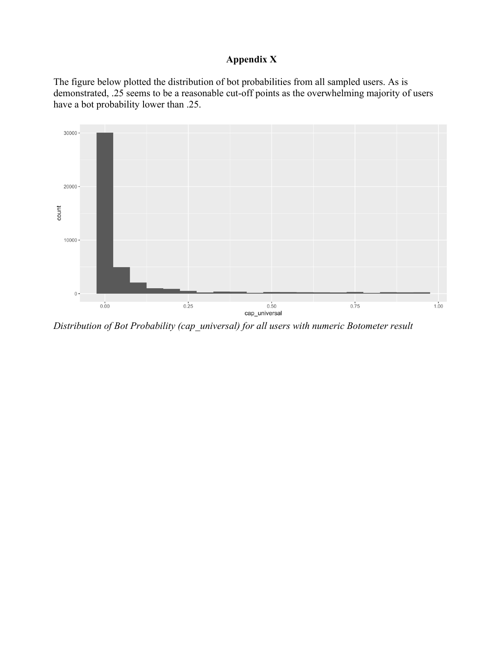## **Appendix X**

The figure below plotted the distribution of bot probabilities from all sampled users. As is demonstrated, .25 seems to be a reasonable cut-off points as the overwhelming majority of users have a bot probability lower than .25.



*Distribution of Bot Probability (cap\_universal) for all users with numeric Botometer result*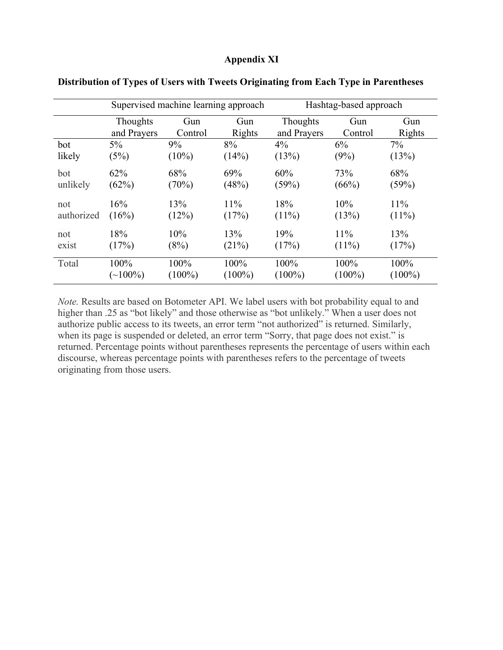### **Appendix XI**

|            | Supervised machine learning approach |           | Hashtag-based approach |             |           |               |
|------------|--------------------------------------|-----------|------------------------|-------------|-----------|---------------|
|            | <b>Thoughts</b>                      | Gun       | Gun                    | Thoughts    | Gun       | Gun           |
|            | and Prayers                          | Control   | Rights                 | and Prayers | Control   | <b>Rights</b> |
| bot        | 5%                                   | 9%        | 8%                     | 4%          | 6%        | $7\%$         |
| likely     | (5%)                                 | $(10\%)$  | (14%)                  | (13%)       | (9%)      | (13%)         |
| bot        | 62%                                  | 68%       | 69%                    | 60%         | 73%       | 68%           |
| unlikely   | (62%)                                | (70%)     | (48%)                  | (59%)       | (66%)     | (59%)         |
| not        | 16%                                  | 13%       | 11%                    | 18%         | 10%       | 11%           |
| authorized | (16%)                                | (12%)     | (17%)                  | $(11\%)$    | (13%)     | $(11\%)$      |
| not        | 18%                                  | 10%       | 13%                    | 19%         | 11%       | 13%           |
| exist      | (17%)                                | (8%)      | (21%)                  | (17%)       | $(11\%)$  | (17%)         |
| Total      | 100%                                 | 100%      | 100%                   | 100%        | 100%      | 100%          |
|            | $(\sim]100\%)$                       | $(100\%)$ | $(100\%)$              | $(100\%)$   | $(100\%)$ | $(100\%)$     |

**Distribution of Types of Users with Tweets Originating from Each Type in Parentheses** 

*Note.* Results are based on Botometer API. We label users with bot probability equal to and higher than .25 as "bot likely" and those otherwise as "bot unlikely." When a user does not authorize public access to its tweets, an error term "not authorized" is returned. Similarly, when its page is suspended or deleted, an error term "Sorry, that page does not exist." is returned. Percentage points without parentheses represents the percentage of users within each discourse, whereas percentage points with parentheses refers to the percentage of tweets originating from those users.